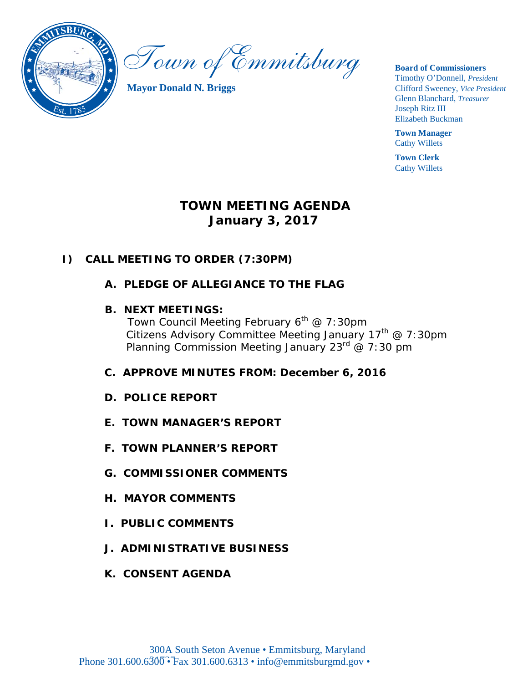

Town of Emmitsburg

**Mayor Donald N. Briggs**

**Board of Commissioners**  Timothy O'Donnell, *President*  Clifford Sweeney, *Vice President* 

Glenn Blanchard, *Treasurer*  Joseph Ritz III Elizabeth Buckman

**Town Manager** Cathy Willets

**Town Clerk** Cathy Willets

# **TOWN MEETING AGENDA January 3, 2017**

### **I) CALL MEETING TO ORDER (7:30PM)**

**A. PLEDGE OF ALLEGIANCE TO THE FLAG**

### **B. NEXT MEETINGS:**

*Town Council Meeting February 6th @ 7:30pm Citizens Advisory Committee Meeting January 17 th @ 7:30pm Planning Commission Meeting January 23 rd @ 7:30 pm*

- **C. APPROVE MINUTES FROM: December 6, 2016**
- **D. POLICE REPORT**
- **E. TOWN MANAGER'S REPORT**
- **F. TOWN PLANNER'S REPORT**
- **G. COMMISSIONER COMMENTS**
- **H. MAYOR COMMENTS**
- **I. PUBLIC COMMENTS**
- **J. ADMINISTRATIVE BUSINESS**
- **K. CONSENT AGENDA**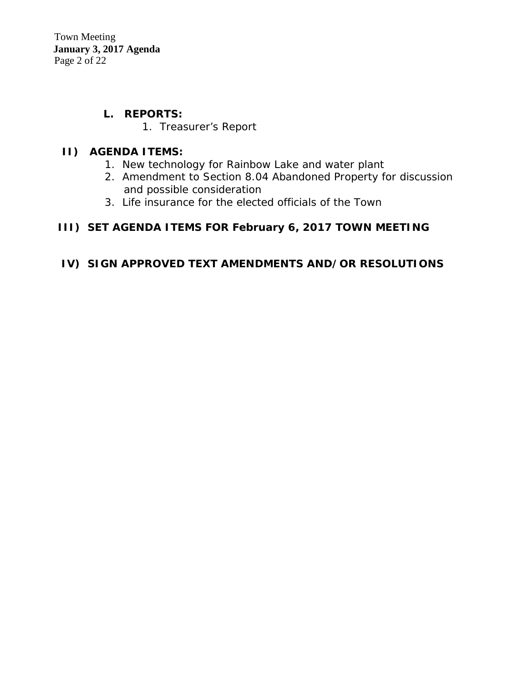Town Meeting  **January 3, 2017 Agenda** Page 2 of 22

### **L. REPORTS:**

1. Treasurer's Report

### **II) AGENDA ITEMS:**

- 1. New technology for Rainbow Lake and water plant
- 2. Amendment to Section 8.04 Abandoned Property for discussion and possible consideration
- 3. Life insurance for the elected officials of the Town

### **III)****SET AGENDA ITEMS FOR February 6, 2017 TOWN MEETING**

### **IV) SIGN APPROVED TEXT AMENDMENTS AND/OR RESOLUTIONS**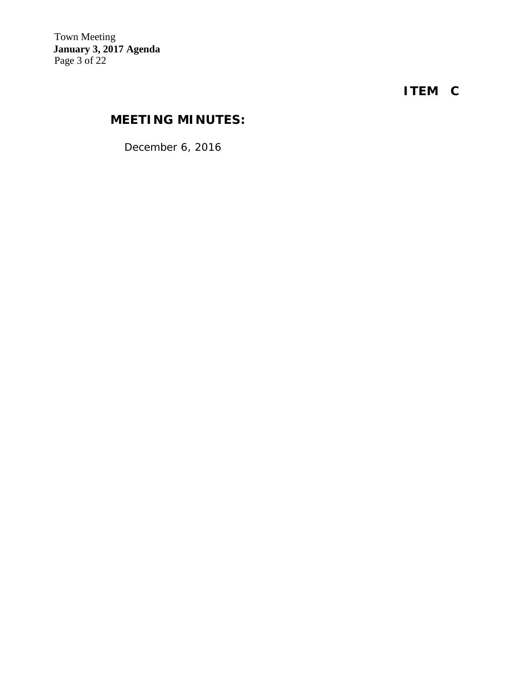**ITEM C**

# **MEETING MINUTES:**

*December 6, 2016*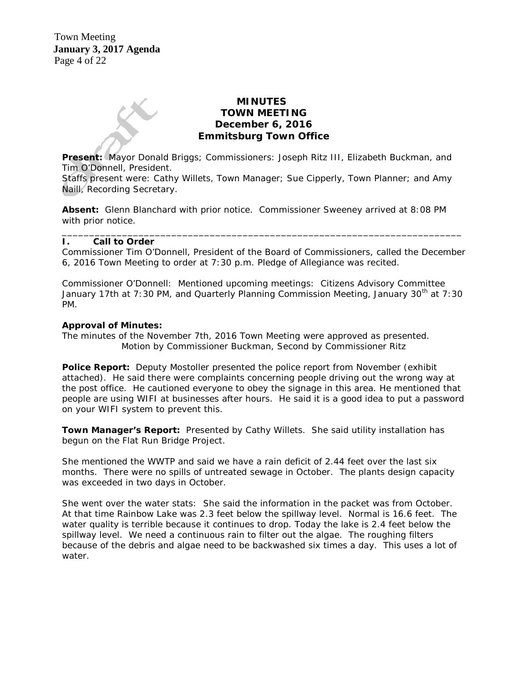### **MINUTES TOWN MEETING December 6, 2016 Emmitsburg Town Office**

**Present:** Mayor Donald Briggs; Commissioners: Joseph Ritz III, Elizabeth Buckman, and Tim O'Donnell, President.

Staffs present were: Cathy Willets, Town Manager; Sue Cipperly, Town Planner; and Amy Naill, Recording Secretary.

**Absent:** Glenn Blanchard with prior notice. Commissioner Sweeney arrived at 8:08 PM with prior notice.

#### \_\_\_\_\_\_\_\_\_\_\_\_\_\_\_\_\_\_\_\_\_\_\_\_\_\_\_\_\_\_\_\_\_\_\_\_\_\_\_\_\_\_\_\_\_\_\_\_\_\_\_\_\_\_\_\_\_\_\_\_\_\_\_\_\_\_\_\_\_\_\_\_\_ **I. Call to Order**

Commissioner Tim O'Donnell, President of the Board of Commissioners, called the December 6, 2016 Town Meeting to order at 7:30 p.m. Pledge of Allegiance was recited.

Commissioner O'Donnell: Mentioned upcoming meetings: Citizens Advisory Committee January 17th at 7:30 PM, and Quarterly Planning Commission Meeting, January 30<sup>th</sup> at 7:30 PM.

#### **Approval of Minutes:**

The minutes of the November 7th, 2016 Town Meeting were approved as presented. Motion by Commissioner Buckman, Second by Commissioner Ritz

**Police Report:** Deputy Mostoller presented the police report from November (exhibit attached). He said there were complaints concerning people driving out the wrong way at the post office. He cautioned everyone to obey the signage in this area. He mentioned that people are using WIFI at businesses after hours. He said it is a good idea to put a password on your WIFI system to prevent this.

**Town Manager's Report:** Presented by Cathy Willets. She said utility installation has begun on the Flat Run Bridge Project.

She mentioned the WWTP and said we have a rain deficit of 2.44 feet over the last six months. There were no spills of untreated sewage in October. The plants design capacity was exceeded in two days in October.

She went over the water stats: She said the information in the packet was from October. At that time Rainbow Lake was 2.3 feet below the spillway level. Normal is 16.6 feet. The water quality is terrible because it continues to drop. Today the lake is 2.4 feet below the spillway level. We need a continuous rain to filter out the algae. The roughing filters because of the debris and algae need to be backwashed six times a day. This uses a lot of water.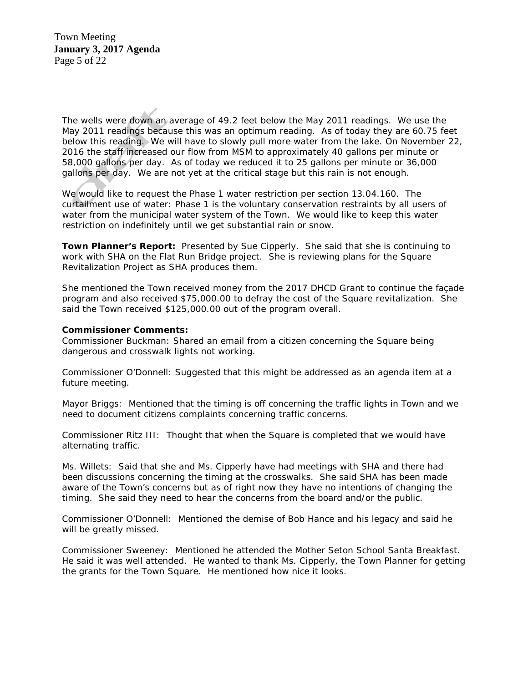Town Meeting  **January 3, 2017 Agenda** Page 5 of 22

The wells were down an average of 49.2 feet below the May 2011 readings. We use the May 2011 readings because this was an optimum reading. As of today they are 60.75 feet below this reading. We will have to slowly pull more water from the lake. On November 22, 2016 the staff increased our flow from MSM to approximately 40 gallons per minute or 58,000 gallons per day. As of today we reduced it to 25 gallons per minute or 36,000 gallons per day. We are not yet at the critical stage but this rain is not enough.

We would like to request the Phase 1 water restriction per section 13.04.160. The curtailment use of water: Phase 1 is the voluntary conservation restraints by all users of water from the municipal water system of the Town. We would like to keep this water restriction on indefinitely until we get substantial rain or snow.

**Town Planner's Report:** Presented by Sue Cipperly. She said that she is continuing to work with SHA on the Flat Run Bridge project. She is reviewing plans for the Square Revitalization Project as SHA produces them.

She mentioned the Town received money from the 2017 DHCD Grant to continue the façade program and also received \$75,000.00 to defray the cost of the Square revitalization. She said the Town received \$125,000.00 out of the program overall.

#### **Commissioner Comments:**

Commissioner Buckman: Shared an email from a citizen concerning the Square being dangerous and crosswalk lights not working.

Commissioner O'Donnell: Suggested that this might be addressed as an agenda item at a future meeting.

Mayor Briggs: Mentioned that the timing is off concerning the traffic lights in Town and we need to document citizens complaints concerning traffic concerns.

Commissioner Ritz III: Thought that when the Square is completed that we would have alternating traffic.

Ms. Willets: Said that she and Ms. Cipperly have had meetings with SHA and there had been discussions concerning the timing at the crosswalks. She said SHA has been made aware of the Town's concerns but as of right now they have no intentions of changing the timing. She said they need to hear the concerns from the board and/or the public.

Commissioner O'Donnell: Mentioned the demise of Bob Hance and his legacy and said he will be greatly missed.

Commissioner Sweeney: Mentioned he attended the Mother Seton School Santa Breakfast. He said it was well attended. He wanted to thank Ms. Cipperly, the Town Planner for getting the grants for the Town Square. He mentioned how nice it looks.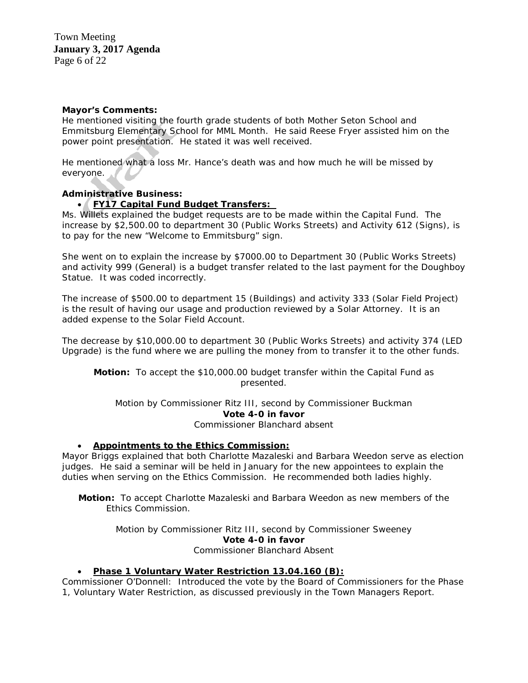#### **Mayor's Comments:**

He mentioned visiting the fourth grade students of both Mother Seton School and Emmitsburg Elementary School for MML Month. He said Reese Fryer assisted him on the power point presentation. He stated it was well received.

He mentioned what a loss Mr. Hance's death was and how much he will be missed by everyone.

#### **Administrative Business:**

#### • **FY17 Capital Fund Budget Transfers:**

Ms. Willets explained the budget requests are to be made within the Capital Fund. The increase by \$2,500.00 to department 30 (Public Works Streets) and Activity 612 (Signs), is to pay for the new "Welcome to Emmitsburg" sign.

She went on to explain the increase by \$7000.00 to Department 30 (Public Works Streets) and activity 999 (General) is a budget transfer related to the last payment for the Doughboy Statue. It was coded incorrectly.

The increase of \$500.00 to department 15 (Buildings) and activity 333 (Solar Field Project) is the result of having our usage and production reviewed by a Solar Attorney. It is an added expense to the Solar Field Account.

The decrease by \$10,000.00 to department 30 (Public Works Streets) and activity 374 (LED Upgrade) is the fund where we are pulling the money from to transfer it to the other funds.

**Motion:** To accept the \$10,000.00 budget transfer within the Capital Fund as presented.

Motion by Commissioner Ritz III, second by Commissioner Buckman **Vote 4-0 in favor**

Commissioner Blanchard absent

#### • **Appointments to the Ethics Commission:**

Mayor Briggs explained that both Charlotte Mazaleski and Barbara Weedon serve as election judges. He said a seminar will be held in January for the new appointees to explain the duties when serving on the Ethics Commission. He recommended both ladies highly.

**Motion:** To accept Charlotte Mazaleski and Barbara Weedon as new members of the Ethics Commission.

> Motion by Commissioner Ritz III, second by Commissioner Sweeney **Vote 4-0 in favor** Commissioner Blanchard Absent

#### • **Phase 1 Voluntary Water Restriction 13.04.160 (B):**

Commissioner O'Donnell: Introduced the vote by the Board of Commissioners for the Phase 1, Voluntary Water Restriction, as discussed previously in the Town Managers Report.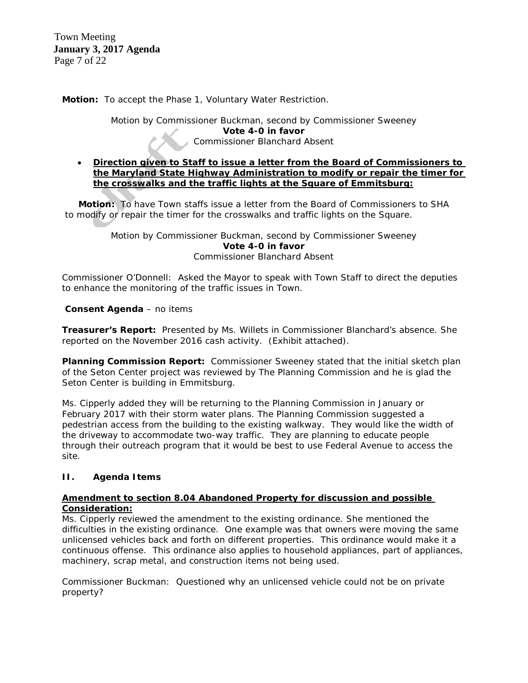Town Meeting  **January 3, 2017 Agenda** Page 7 of 22

**Motion:** To accept the Phase 1, Voluntary Water Restriction.

Motion by Commissioner Buckman, second by Commissioner Sweeney **Vote 4-0 in favor** Commissioner Blanchard Absent

#### • **Direction given to Staff to issue a letter from the Board of Commissioners to the Maryland State Highway Administration to modify or repair the timer for the crosswalks and the traffic lights at the Square of Emmitsburg:**

**Motion:** To have Town staffs issue a letter from the Board of Commissioners to SHA to modify or repair the timer for the crosswalks and traffic lights on the Square.

> Motion by Commissioner Buckman, second by Commissioner Sweeney **Vote 4-0 in favor** Commissioner Blanchard Absent

Commissioner O'Donnell: Asked the Mayor to speak with Town Staff to direct the deputies to enhance the monitoring of the traffic issues in Town.

#### **Consent Agenda** – no items

**Treasurer's Report:** Presented by Ms. Willets in Commissioner Blanchard's absence. She reported on the November 2016 cash activity. (Exhibit attached).

**Planning Commission Report:** Commissioner Sweeney stated that the initial sketch plan of the Seton Center project was reviewed by The Planning Commission and he is glad the Seton Center is building in Emmitsburg.

Ms. Cipperly added they will be returning to the Planning Commission in January or February 2017 with their storm water plans. The Planning Commission suggested a pedestrian access from the building to the existing walkway. They would like the width of the driveway to accommodate two-way traffic. They are planning to educate people through their outreach program that it would be best to use Federal Avenue to access the site.

#### **II. Agenda Items**

#### **Amendment to section 8.04 Abandoned Property for discussion and possible Consideration:**

Ms. Cipperly reviewed the amendment to the existing ordinance. She mentioned the difficulties in the existing ordinance. One example was that owners were moving the same unlicensed vehicles back and forth on different properties. This ordinance would make it a continuous offense. This ordinance also applies to household appliances, part of appliances, machinery, scrap metal, and construction items not being used.

Commissioner Buckman: Questioned why an unlicensed vehicle could not be on private property?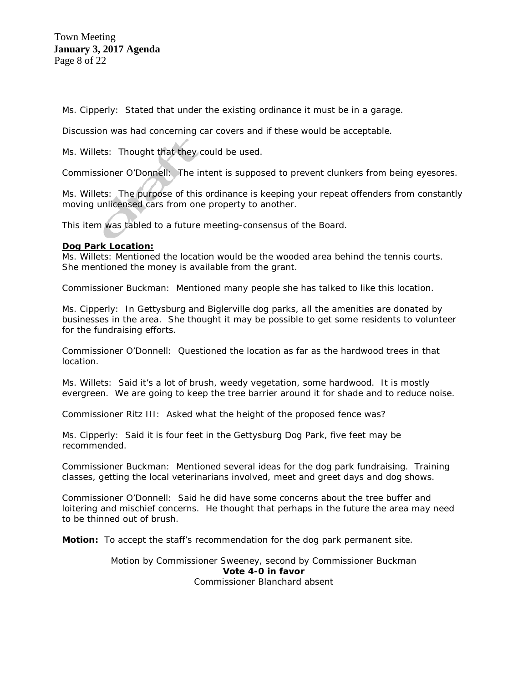Town Meeting  **January 3, 2017 Agenda** Page 8 of 22

Ms. Cipperly: Stated that under the existing ordinance it must be in a garage.

Discussion was had concerning car covers and if these would be acceptable.

Ms. Willets: Thought that they could be used.

Commissioner O'Donnell: The intent is supposed to prevent clunkers from being eyesores.

Ms. Willets: The purpose of this ordinance is keeping your repeat offenders from constantly moving unlicensed cars from one property to another.

This item was tabled to a future meeting-consensus of the Board.

#### **Dog Park Location:**

Ms. Willets: Mentioned the location would be the wooded area behind the tennis courts. She mentioned the money is available from the grant.

Commissioner Buckman: Mentioned many people she has talked to like this location.

Ms. Cipperly: In Gettysburg and Biglerville dog parks, all the amenities are donated by businesses in the area. She thought it may be possible to get some residents to volunteer for the fundraising efforts.

Commissioner O'Donnell: Questioned the location as far as the hardwood trees in that location.

Ms. Willets: Said it's a lot of brush, weedy vegetation, some hardwood. It is mostly evergreen. We are going to keep the tree barrier around it for shade and to reduce noise.

Commissioner Ritz III: Asked what the height of the proposed fence was?

Ms. Cipperly: Said it is four feet in the Gettysburg Dog Park, five feet may be recommended.

Commissioner Buckman: Mentioned several ideas for the dog park fundraising. Training classes, getting the local veterinarians involved, meet and greet days and dog shows.

Commissioner O'Donnell: Said he did have some concerns about the tree buffer and loitering and mischief concerns. He thought that perhaps in the future the area may need to be thinned out of brush.

**Motion:** To accept the staff's recommendation for the dog park permanent site.

Motion by Commissioner Sweeney, second by Commissioner Buckman **Vote 4-0 in favor** Commissioner Blanchard absent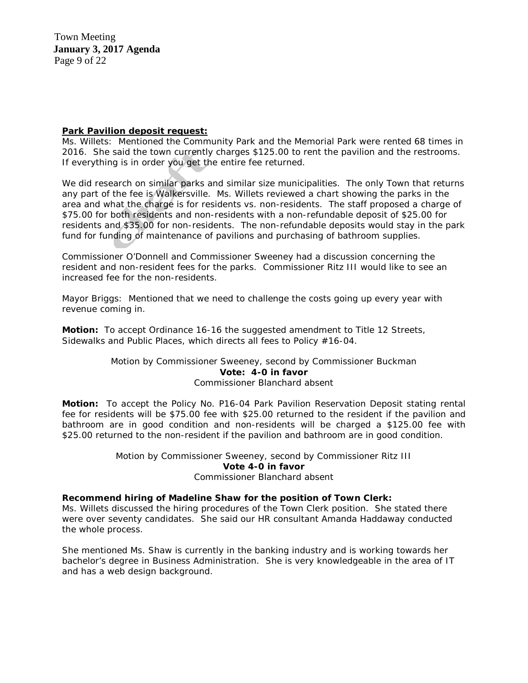Town Meeting  **January 3, 2017 Agenda** Page 9 of 22

#### **Park Pavilion deposit request:**

Ms. Willets: Mentioned the Community Park and the Memorial Park were rented 68 times in 2016. She said the town currently charges \$125.00 to rent the pavilion and the restrooms. If everything is in order you get the entire fee returned.

We did research on similar parks and similar size municipalities. The only Town that returns any part of the fee is Walkersville. Ms. Willets reviewed a chart showing the parks in the area and what the charge is for residents vs. non-residents. The staff proposed a charge of \$75.00 for both residents and non-residents with a non-refundable deposit of \$25.00 for residents and \$35.00 for non-residents. The non-refundable deposits would stay in the park fund for funding of maintenance of pavilions and purchasing of bathroom supplies.

Commissioner O'Donnell and Commissioner Sweeney had a discussion concerning the resident and non-resident fees for the parks. Commissioner Ritz III would like to see an increased fee for the non-residents.

Mayor Briggs: Mentioned that we need to challenge the costs going up every year with revenue coming in.

**Motion:** To accept Ordinance 16-16 the suggested amendment to Title 12 Streets, Sidewalks and Public Places, which directs all fees to Policy #16-04.

#### Motion by Commissioner Sweeney, second by Commissioner Buckman **Vote: 4-0 in favor** Commissioner Blanchard absent

**Motion:** To accept the Policy No. P16-04 Park Pavilion Reservation Deposit stating rental fee for residents will be \$75.00 fee with \$25.00 returned to the resident if the pavilion and bathroom are in good condition and non-residents will be charged a \$125.00 fee with \$25.00 returned to the non-resident if the pavilion and bathroom are in good condition.

> Motion by Commissioner Sweeney, second by Commissioner Ritz III **Vote 4-0 in favor** Commissioner Blanchard absent

#### **Recommend hiring of Madeline Shaw for the position of Town Clerk:**

Ms. Willets discussed the hiring procedures of the Town Clerk position. She stated there were over seventy candidates. She said our HR consultant Amanda Haddaway conducted the whole process.

She mentioned Ms. Shaw is currently in the banking industry and is working towards her bachelor's degree in Business Administration. She is very knowledgeable in the area of IT and has a web design background.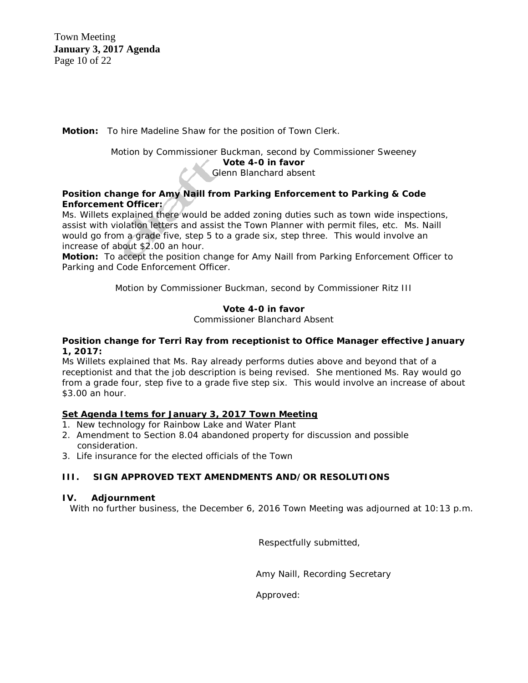Town Meeting  **January 3, 2017 Agenda** Page 10 of 22

**Motion:** To hire Madeline Shaw for the position of Town Clerk.

Motion by Commissioner Buckman, second by Commissioner Sweeney **Vote 4-0 in favor** Glenn Blanchard absent

#### **Position change for Amy Naill from Parking Enforcement to Parking & Code Enforcement Officer:**

Ms. Willets explained there would be added zoning duties such as town wide inspections, assist with violation letters and assist the Town Planner with permit files, etc. Ms. Naill would go from a grade five, step 5 to a grade six, step three. This would involve an increase of about \$2.00 an hour.

**Motion:** To accept the position change for Amy Naill from Parking Enforcement Officer to Parking and Code Enforcement Officer.

Motion by Commissioner Buckman, second by Commissioner Ritz III

#### **Vote 4-0 in favor**

Commissioner Blanchard Absent

#### **Position change for Terri Ray from receptionist to Office Manager effective January 1, 2017:**

Ms Willets explained that Ms. Ray already performs duties above and beyond that of a receptionist and that the job description is being revised. She mentioned Ms. Ray would go from a grade four, step five to a grade five step six. This would involve an increase of about \$3.00 an hour.

### **Set Agenda Items for January 3, 2017 Town Meeting**

- 1.New technology for Rainbow Lake and Water Plant
- 2. Amendment to Section 8.04 abandoned property for discussion and possible consideration.
- 3. Life insurance for the elected officials of the Town

### **III. SIGN APPROVED TEXT AMENDMENTS AND/OR RESOLUTIONS**

#### **IV. Adjournment**

With no further business, the December 6, 2016 Town Meeting was adjourned at 10:13 p.m.

Respectfully submitted,

Amy Naill, Recording Secretary

Approved: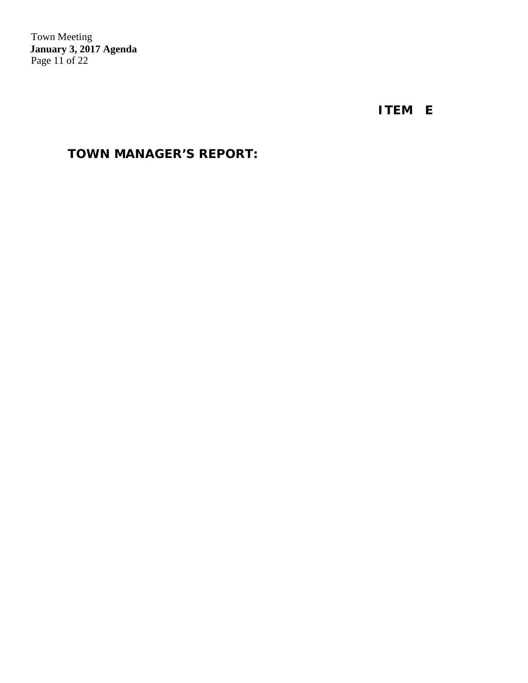Town Meeting  **January 3, 2017 Agenda** Page 11 of 22

 **ITEM E**

# **TOWN MANAGER'S REPORT:**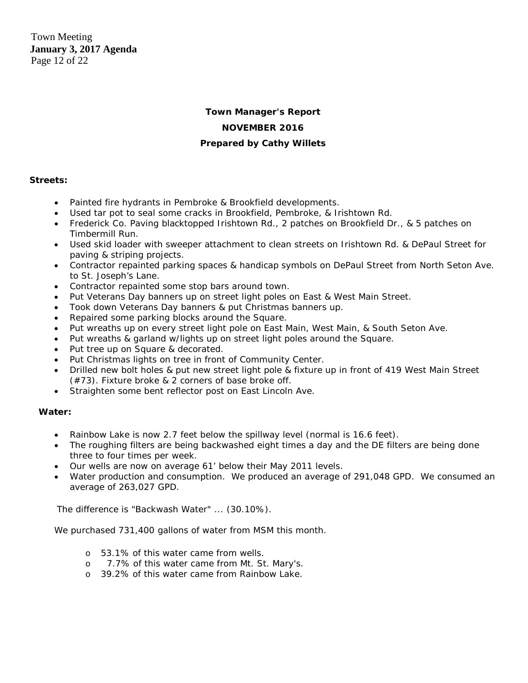Town Meeting  **January 3, 2017 Agenda** Page 12 of 22

### **Town Manager's Report NOVEMBER 2016 Prepared by Cathy Willets**

#### **Streets:**

- Painted fire hydrants in Pembroke & Brookfield developments.
- Used tar pot to seal some cracks in Brookfield, Pembroke, & Irishtown Rd.
- Frederick Co. Paving blacktopped Irishtown Rd., 2 patches on Brookfield Dr., & 5 patches on Timbermill Run.
- Used skid loader with sweeper attachment to clean streets on Irishtown Rd. & DePaul Street for paving & striping projects.
- Contractor repainted parking spaces & handicap symbols on DePaul Street from North Seton Ave. to St. Joseph's Lane.
- Contractor repainted some stop bars around town.
- Put Veterans Day banners up on street light poles on East & West Main Street.
- Took down Veterans Day banners & put Christmas banners up.
- Repaired some parking blocks around the Square.
- Put wreaths up on every street light pole on East Main, West Main, & South Seton Ave.
- Put wreaths & garland w/lights up on street light poles around the Square.
- Put tree up on Square & decorated.
- Put Christmas lights on tree in front of Community Center.
- Drilled new bolt holes & put new street light pole & fixture up in front of 419 West Main Street (#73). Fixture broke & 2 corners of base broke off.
- Straighten some bent reflector post on East Lincoln Ave.

#### **Water:**

- Rainbow Lake is now 2.7 feet below the spillway level (normal is 16.6 feet).
- The roughing filters are being backwashed eight times a day and the DE filters are being done three to four times per week.
- Our wells are now on average 61' below their May 2011 levels.
- Water production and consumption. We produced an average of 291,048 GPD. We consumed an average of 263,027 GPD.

The difference is "Backwash Water" ... (30.10%).

We purchased 731,400 gallons of water from MSM this month.

- o 53.1% of this water came from wells.
- o 7.7% of this water came from Mt. St. Mary's.
- o 39.2% of this water came from Rainbow Lake.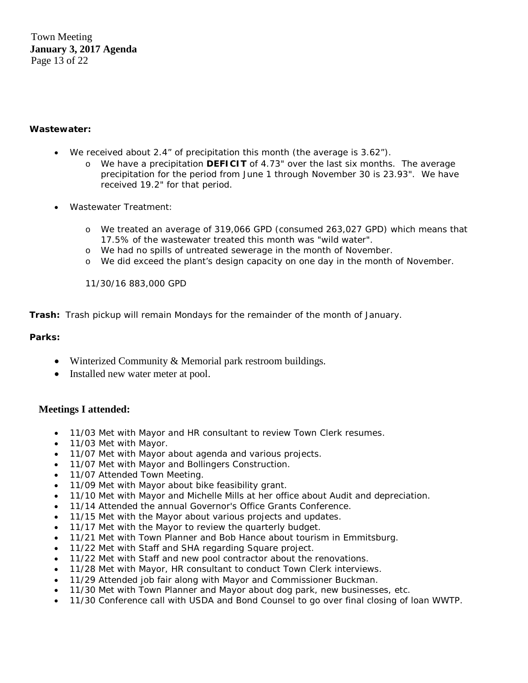Town Meeting  **January 3, 2017 Agenda** Page 13 of 22

#### **Wastewater:**

- We received about 2.4" of precipitation this month (the average is 3.62").
	- o We have a precipitation **DEFICIT** of 4.73" over the last six months. The average precipitation for the period from June 1 through November 30 is 23.93". We have received 19.2" for that period.
- Wastewater Treatment:
	- o We treated an average of 319,066 GPD (consumed 263,027 GPD) which means that 17.5% of the wastewater treated this month was "wild water".
	- o We had no spills of untreated sewerage in the month of November.
	- o We did exceed the plant's design capacity on one day in the month of November.

11/30/16 883,000 GPD

**Trash:** Trash pickup will remain Mondays for the remainder of the month of January.

#### **Parks:**

- Winterized Community & Memorial park restroom buildings.
- Installed new water meter at pool.

#### **Meetings I attended:**

- 11/03 Met with Mayor and HR consultant to review Town Clerk resumes.
- 11/03 Met with Mayor.
- 11/07 Met with Mayor about agenda and various projects.
- 11/07 Met with Mayor and Bollingers Construction.
- 11/07 Attended Town Meeting.
- 11/09 Met with Mayor about bike feasibility grant.
- 11/10 Met with Mayor and Michelle Mills at her office about Audit and depreciation.
- 11/14 Attended the annual Governor's Office Grants Conference.
- 11/15 Met with the Mayor about various projects and updates.
- 11/17 Met with the Mayor to review the quarterly budget.
- 11/21 Met with Town Planner and Bob Hance about tourism in Emmitsburg.
- 11/22 Met with Staff and SHA regarding Square project.
- 11/22 Met with Staff and new pool contractor about the renovations.
- 11/28 Met with Mayor, HR consultant to conduct Town Clerk interviews.
- 11/29 Attended job fair along with Mayor and Commissioner Buckman.
- 11/30 Met with Town Planner and Mayor about dog park, new businesses, etc.
- 11/30 Conference call with USDA and Bond Counsel to go over final closing of loan WWTP.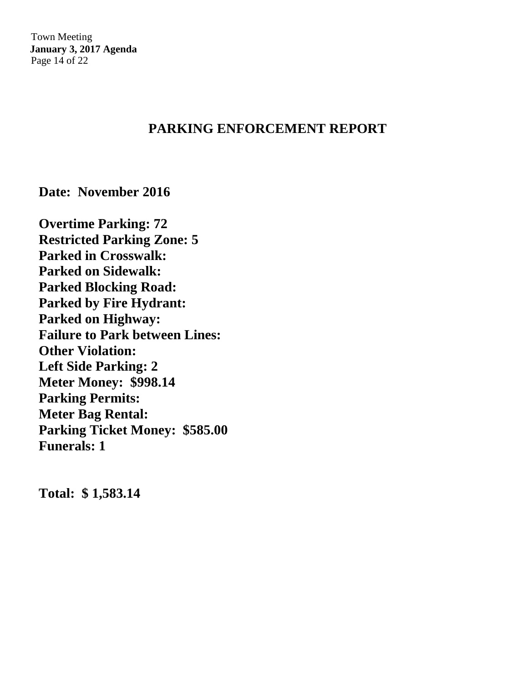Town Meeting  **January 3, 2017 Agenda** Page 14 of 22

### **PARKING ENFORCEMENT REPORT**

**Date: November 2016**

**Overtime Parking: 72 Restricted Parking Zone: 5 Parked in Crosswalk: Parked on Sidewalk: Parked Blocking Road: Parked by Fire Hydrant: Parked on Highway: Failure to Park between Lines: Other Violation: Left Side Parking: 2 Meter Money: \$998.14 Parking Permits: Meter Bag Rental: Parking Ticket Money: \$585.00 Funerals: 1**

**Total: \$ 1,583.14**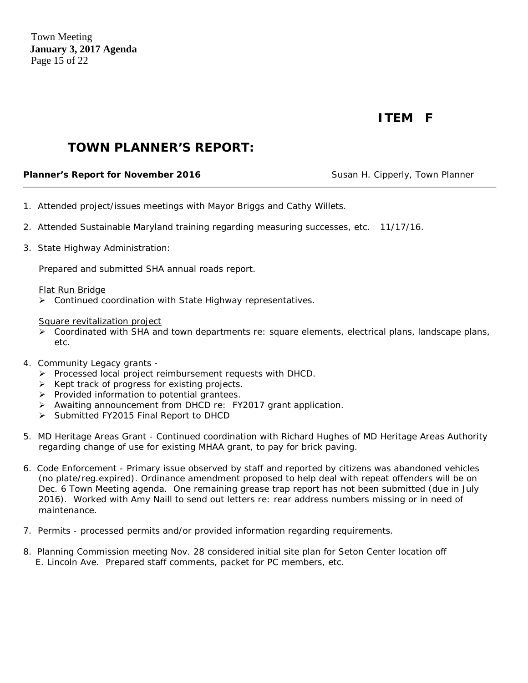Town Meeting  **January 3, 2017 Agenda** Page 15 of 22

# **ITEM F**

### **TOWN PLANNER'S REPORT:**

#### **Planner's Report for November 2016** Susan H. Cipperly, Town Planner

- 1. Attended project/issues meetings with Mayor Briggs and Cathy Willets.
- 2. Attended Sustainable Maryland training regarding measuring successes, etc. 11/17/16.
- 3. State Highway Administration:

Prepared and submitted SHA annual roads report.

#### Flat Run Bridge

Continued coordination with State Highway representatives.

#### Square revitalization project

- $\triangleright$  Coordinated with SHA and town departments re: square elements, electrical plans, landscape plans, etc.
- 4. Community Legacy grants
	- Processed local project reimbursement requests with DHCD.
	- $\triangleright$  Kept track of progress for existing projects.
	- $\triangleright$  Provided information to potential grantees.
	- Awaiting announcement from DHCD re: FY2017 grant application.
	- Submitted FY2015 Final Report to DHCD
- 5. MD Heritage Areas Grant Continued coordination with Richard Hughes of MD Heritage Areas Authority regarding change of use for existing MHAA grant, to pay for brick paving.
- 6. Code Enforcement Primary issue observed by staff and reported by citizens was abandoned vehicles (no plate/reg.expired). Ordinance amendment proposed to help deal with repeat offenders will be on Dec. 6 Town Meeting agenda. One remaining grease trap report has not been submitted (due in July 2016). Worked with Amy Naill to send out letters re: rear address numbers missing or in need of maintenance.
- 7. Permits processed permits and/or provided information regarding requirements.
- 8. Planning Commission meeting Nov. 28 considered initial site plan for Seton Center location off E. Lincoln Ave. Prepared staff comments, packet for PC members, etc.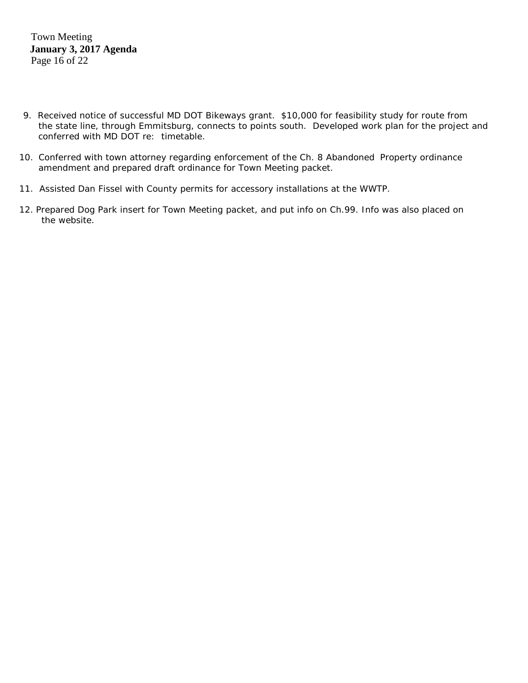Town Meeting  **January 3, 2017 Agenda** Page 16 of 22

- 9. Received notice of successful MD DOT Bikeways grant. \$10,000 for feasibility study for route from the state line, through Emmitsburg, connects to points south. Developed work plan for the project and conferred with MD DOT re: timetable.
- 10. Conferred with town attorney regarding enforcement of the Ch. 8 Abandoned Property ordinance amendment and prepared draft ordinance for Town Meeting packet.
- 11. Assisted Dan Fissel with County permits for accessory installations at the WWTP.
- 12. Prepared Dog Park insert for Town Meeting packet, and put info on Ch.99. Info was also placed on the website.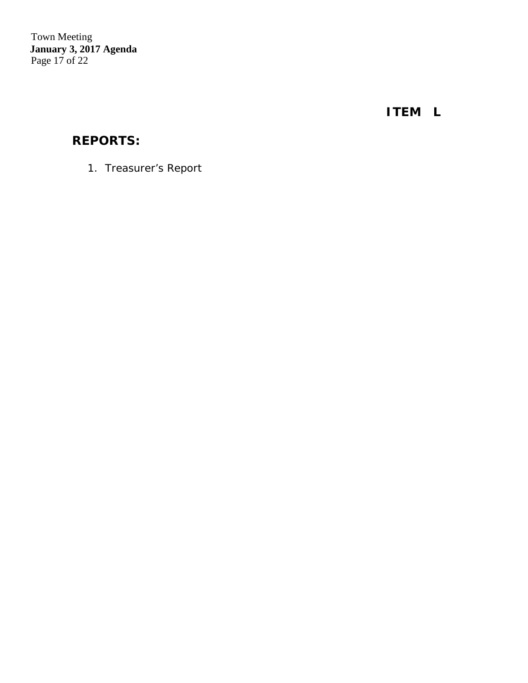Town Meeting  **January 3, 2017 Agenda** Page 17 of 22

 **ITEM L**

# **REPORTS:**

1. *Treasurer's Report*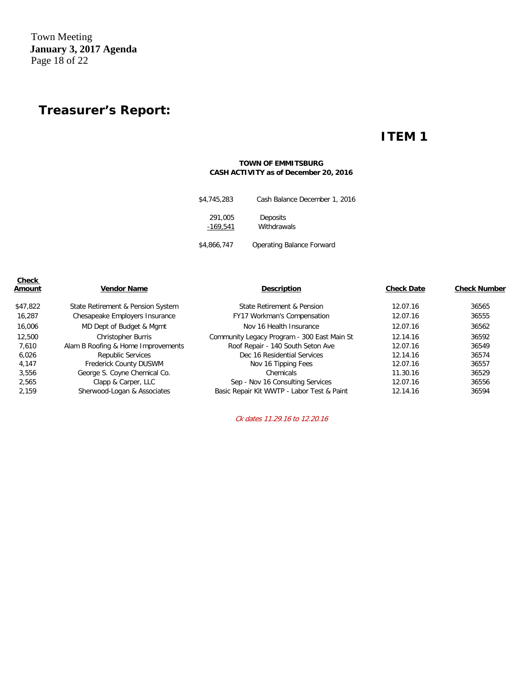Town Meeting  **January 3, 2017 Agenda** Page 18 of 22

# **Treasurer's Report:**

### **ITEM 1**

#### **TOWN OF EMMITSBURG CASH ACTIVITY as of December 20, 2016**

| \$4,745,283           | Cash Balance December 1, 2016 |
|-----------------------|-------------------------------|
| 291,005<br>$-169,541$ | Deposits<br>Withdrawals       |
| \$4,866,747           | Operating Balance Forward     |

| <b>Check</b><br>Amount | <b>Vendor Name</b>                 | <b>Description</b>                          | <b>Check Date</b> | <b>Check Number</b> |
|------------------------|------------------------------------|---------------------------------------------|-------------------|---------------------|
| \$47,822               | State Retirement & Pension System  | State Retirement & Pension                  | 12.07.16          | 36565               |
| 16,287                 | Chesapeake Employers Insurance     | <b>FY17 Workman's Compensation</b>          | 12.07.16          | 36555               |
| 16,006                 | MD Dept of Budget & Mgmt           | Nov 16 Health Insurance                     | 12.07.16          | 36562               |
| 12,500                 | <b>Christopher Burris</b>          | Community Legacy Program - 300 East Main St | 12.14.16          | 36592               |
| 7.610                  | Alam B Roofing & Home Improvements | Roof Repair - 140 South Seton Ave           | 12.07.16          | 36549               |
| 6,026                  | Republic Services                  | Dec 16 Residential Services                 | 12.14.16          | 36574               |
| 4,147                  | Frederick County DUSWM             | Nov 16 Tipping Fees                         | 12.07.16          | 36557               |
| 3.556                  | George S. Coyne Chemical Co.       | Chemicals                                   | 11.30.16          | 36529               |
| 2,565                  | Clapp & Carper, LLC                | Sep - Nov 16 Consulting Services            | 12.07.16          | 36556               |
| 2.159                  | Sherwood-Logan & Associates        | Basic Repair Kit WWTP - Labor Test & Paint  | 12.14.16          | 36594               |

Ck dates 11.29.16 to 12.20.16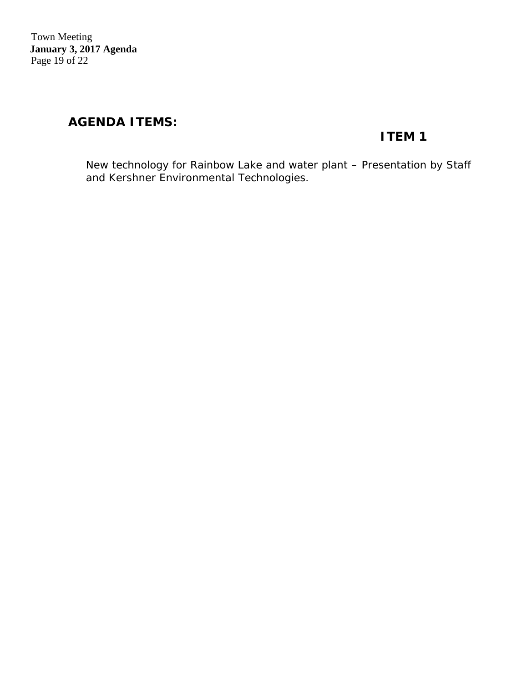Town Meeting  **January 3, 2017 Agenda** Page 19 of 22

### **AGENDA ITEMS:**

# **ITEM 1**

 *New technology for Rainbow Lake and water plant – Presentation by Staff and Kershner Environmental Technologies.*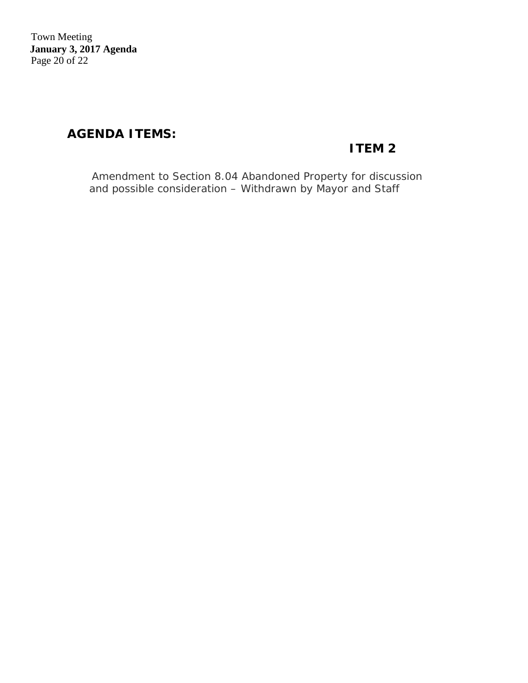Town Meeting  **January 3, 2017 Agenda** Page 20 of 22

# **AGENDA ITEMS:**

# **ITEM 2**

*Amendment to Section 8.04 Abandoned Property for discussion and possible consideration – Withdrawn by Mayor and Staff*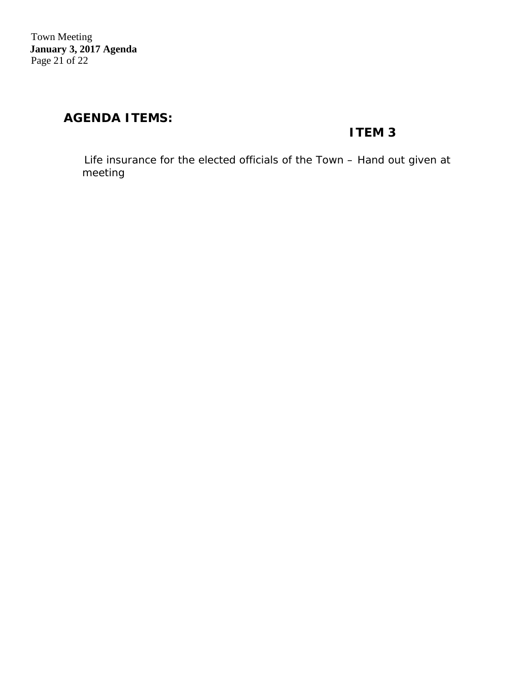### **AGENDA ITEMS:**

### **ITEM 3**

 *Life insurance for the elected officials of the Town – Hand out given at meeting*